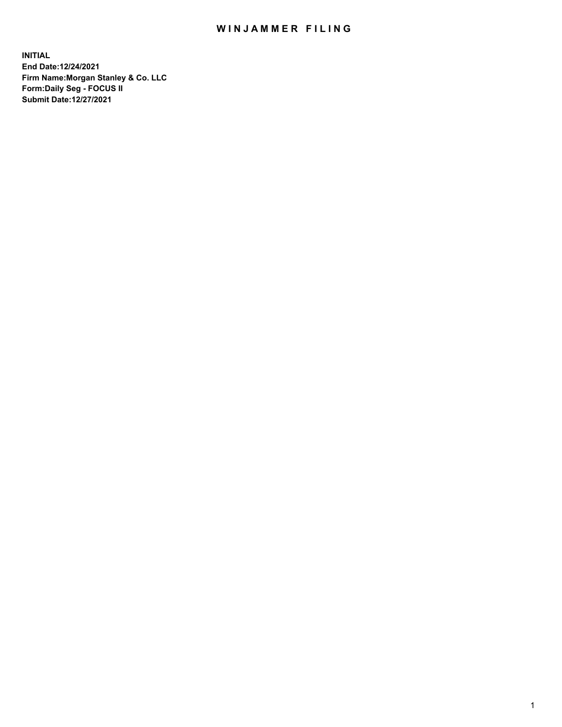## WIN JAMMER FILING

**INITIAL End Date:12/24/2021 Firm Name:Morgan Stanley & Co. LLC Form:Daily Seg - FOCUS II Submit Date:12/27/2021**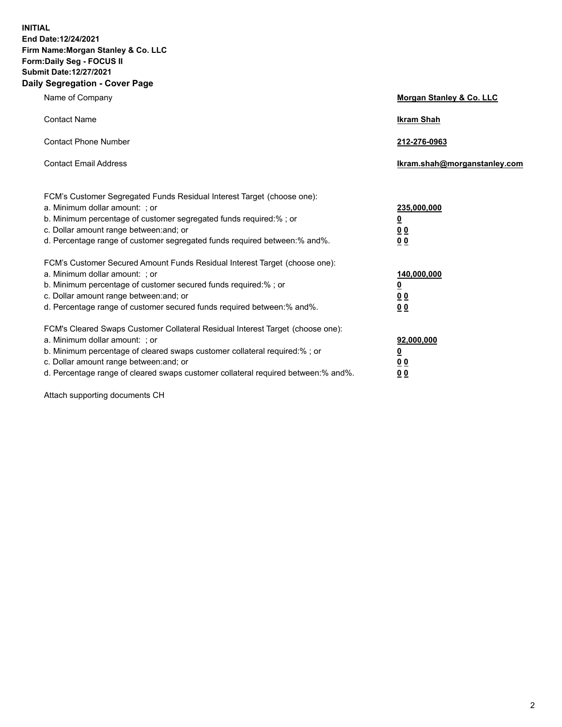**INITIAL End Date:12/24/2021 Firm Name:Morgan Stanley & Co. LLC Form:Daily Seg - FOCUS II Submit Date:12/27/2021 Daily Segregation - Cover Page**

| Name of Company                                                                                                                                                                                                                                                                                                                | Morgan Stanley & Co. LLC                               |
|--------------------------------------------------------------------------------------------------------------------------------------------------------------------------------------------------------------------------------------------------------------------------------------------------------------------------------|--------------------------------------------------------|
| <b>Contact Name</b>                                                                                                                                                                                                                                                                                                            | <b>Ikram Shah</b>                                      |
| <b>Contact Phone Number</b>                                                                                                                                                                                                                                                                                                    | 212-276-0963                                           |
| <b>Contact Email Address</b>                                                                                                                                                                                                                                                                                                   | Ikram.shah@morganstanley.com                           |
| FCM's Customer Segregated Funds Residual Interest Target (choose one):<br>a. Minimum dollar amount: ; or<br>b. Minimum percentage of customer segregated funds required:% ; or<br>c. Dollar amount range between: and; or<br>d. Percentage range of customer segregated funds required between:% and%.                         | 235,000,000<br><u>0</u><br>0 <sup>0</sup><br><u>00</u> |
| FCM's Customer Secured Amount Funds Residual Interest Target (choose one):<br>a. Minimum dollar amount: ; or<br>b. Minimum percentage of customer secured funds required:% ; or<br>c. Dollar amount range between: and; or<br>d. Percentage range of customer secured funds required between:% and%.                           | 140,000,000<br><u>0</u><br><u>00</u><br>00             |
| FCM's Cleared Swaps Customer Collateral Residual Interest Target (choose one):<br>a. Minimum dollar amount: ; or<br>b. Minimum percentage of cleared swaps customer collateral required:% ; or<br>c. Dollar amount range between: and; or<br>d. Percentage range of cleared swaps customer collateral required between:% and%. | 92,000,000<br><u>0</u><br><u>00</u><br>00              |

Attach supporting documents CH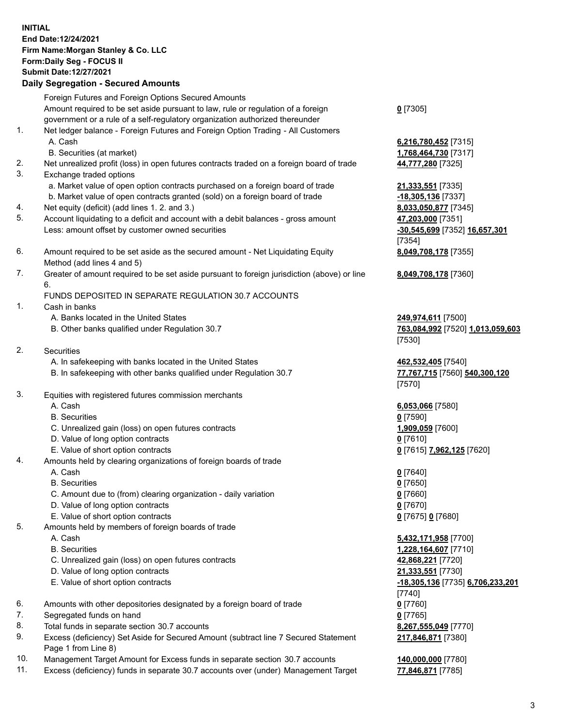## **INITIAL End Date:12/24/2021 Firm Name:Morgan Stanley & Co. LLC Form:Daily Seg - FOCUS II Submit Date:12/27/2021**

## **Daily Segregation - Secured Amounts**

Foreign Futures and Foreign Options Secured Amounts Amount required to be set aside pursuant to law, rule or regulation of a foreign government or a rule of a self-regulatory organization authorized thereunder

- 1. Net ledger balance Foreign Futures and Foreign Option Trading All Customers A. Cash **6,216,780,452** [7315]
	- B. Securities (at market) **1,768,464,730** [7317]
- 2. Net unrealized profit (loss) in open futures contracts traded on a foreign board of trade **44,777,280** [7325]
- 3. Exchange traded options
	- a. Market value of open option contracts purchased on a foreign board of trade **21,333,551** [7335]
	- b. Market value of open contracts granted (sold) on a foreign board of trade **-18,305,136** [7337]
- 4. Net equity (deficit) (add lines 1. 2. and 3.) **8,033,050,877** [7345]
- 5. Account liquidating to a deficit and account with a debit balances gross amount **47,203,000** [7351] Less: amount offset by customer owned securities **-30,545,699** [7352] **16,657,301**
- 6. Amount required to be set aside as the secured amount Net Liquidating Equity Method (add lines 4 and 5)
- 7. Greater of amount required to be set aside pursuant to foreign jurisdiction (above) or line 6.

## FUNDS DEPOSITED IN SEPARATE REGULATION 30.7 ACCOUNTS

- 1. Cash in banks
	- A. Banks located in the United States **249,974,611** [7500]
	- B. Other banks qualified under Regulation 30.7 **763,084,992** [7520] **1,013,059,603**
- 2. Securities
	- A. In safekeeping with banks located in the United States **462,532,405** [7540]
	- B. In safekeeping with other banks qualified under Regulation 30.7 **77,767,715** [7560] **540,300,120**
- 3. Equities with registered futures commission merchants
	-
	- B. Securities **0** [7590]
	- C. Unrealized gain (loss) on open futures contracts **1,909,059** [7600]
	- D. Value of long option contracts **0** [7610]
	- E. Value of short option contracts **0** [7615] **7,962,125** [7620]
- 4. Amounts held by clearing organizations of foreign boards of trade
	- A. Cash **0** [7640]
	- B. Securities **0** [7650]
	- C. Amount due to (from) clearing organization daily variation **0** [7660]
	- D. Value of long option contracts **0** [7670]
	- E. Value of short option contracts **0** [7675] **0** [7680]
- 5. Amounts held by members of foreign boards of trade
	-
	-
	- C. Unrealized gain (loss) on open futures contracts **42,868,221** [7720]
	- D. Value of long option contracts **21,333,551** [7730]
	- E. Value of short option contracts **-18,305,136** [7735] **6,706,233,201**
- 6. Amounts with other depositories designated by a foreign board of trade **0** [7760]
- 7. Segregated funds on hand **0** [7765]
- 8. Total funds in separate section 30.7 accounts **8,267,555,049** [7770]
- 9. Excess (deficiency) Set Aside for Secured Amount (subtract line 7 Secured Statement Page 1 from Line 8)
- 10. Management Target Amount for Excess funds in separate section 30.7 accounts **140,000,000** [7780]
- 11. Excess (deficiency) funds in separate 30.7 accounts over (under) Management Target **77,846,871** [7785]

**0** [7305]

[7354] **8,049,708,178** [7355]

**8,049,708,178** [7360]

[7530]

[7570]

A. Cash **6,053,066** [7580]

 A. Cash **5,432,171,958** [7700] B. Securities **1,228,164,607** [7710] [7740] **217,846,871** [7380]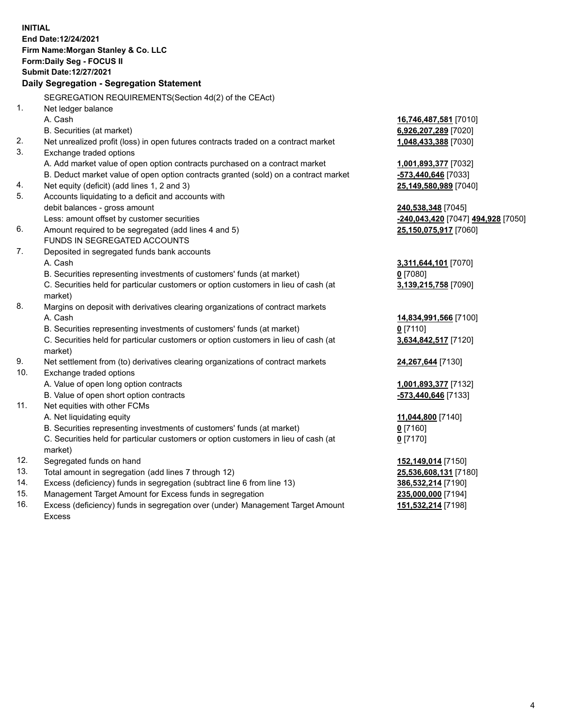**INITIAL End Date:12/24/2021 Firm Name:Morgan Stanley & Co. LLC Form:Daily Seg - FOCUS II Submit Date:12/27/2021 Daily Segregation - Segregation Statement** SEGREGATION REQUIREMENTS(Section 4d(2) of the CEAct) 1. Net ledger balance A. Cash **16,746,487,581** [7010] B. Securities (at market) **6,926,207,289** [7020] 2. Net unrealized profit (loss) in open futures contracts traded on a contract market **1,048,433,388** [7030] 3. Exchange traded options A. Add market value of open option contracts purchased on a contract market **1,001,893,377** [7032] B. Deduct market value of open option contracts granted (sold) on a contract market **-573,440,646** [7033] 4. Net equity (deficit) (add lines 1, 2 and 3) **25,149,580,989** [7040] 5. Accounts liquidating to a deficit and accounts with debit balances - gross amount **240,538,348** [7045] Less: amount offset by customer securities **-240,043,420** [7047] **494,928** [7050] 6. Amount required to be segregated (add lines 4 and 5) **25,150,075,917** [7060] FUNDS IN SEGREGATED ACCOUNTS 7. Deposited in segregated funds bank accounts A. Cash **3,311,644,101** [7070] B. Securities representing investments of customers' funds (at market) **0** [7080] C. Securities held for particular customers or option customers in lieu of cash (at market) **3,139,215,758** [7090] 8. Margins on deposit with derivatives clearing organizations of contract markets A. Cash **14,834,991,566** [7100] B. Securities representing investments of customers' funds (at market) **0** [7110] C. Securities held for particular customers or option customers in lieu of cash (at market) **3,634,842,517** [7120] 9. Net settlement from (to) derivatives clearing organizations of contract markets **24,267,644** [7130] 10. Exchange traded options A. Value of open long option contracts **1,001,893,377** [7132] B. Value of open short option contracts **-573,440,646** [7133] 11. Net equities with other FCMs A. Net liquidating equity **11,044,800** [7140] B. Securities representing investments of customers' funds (at market) **0** [7160] C. Securities held for particular customers or option customers in lieu of cash (at market) **0** [7170] 12. Segregated funds on hand **152,149,014** [7150] 13. Total amount in segregation (add lines 7 through 12) **25,536,608,131** [7180] 14. Excess (deficiency) funds in segregation (subtract line 6 from line 13) **386,532,214** [7190] 15. Management Target Amount for Excess funds in segregation **235,000,000** [7194] **151,532,214** [7198]

16. Excess (deficiency) funds in segregation over (under) Management Target Amount Excess